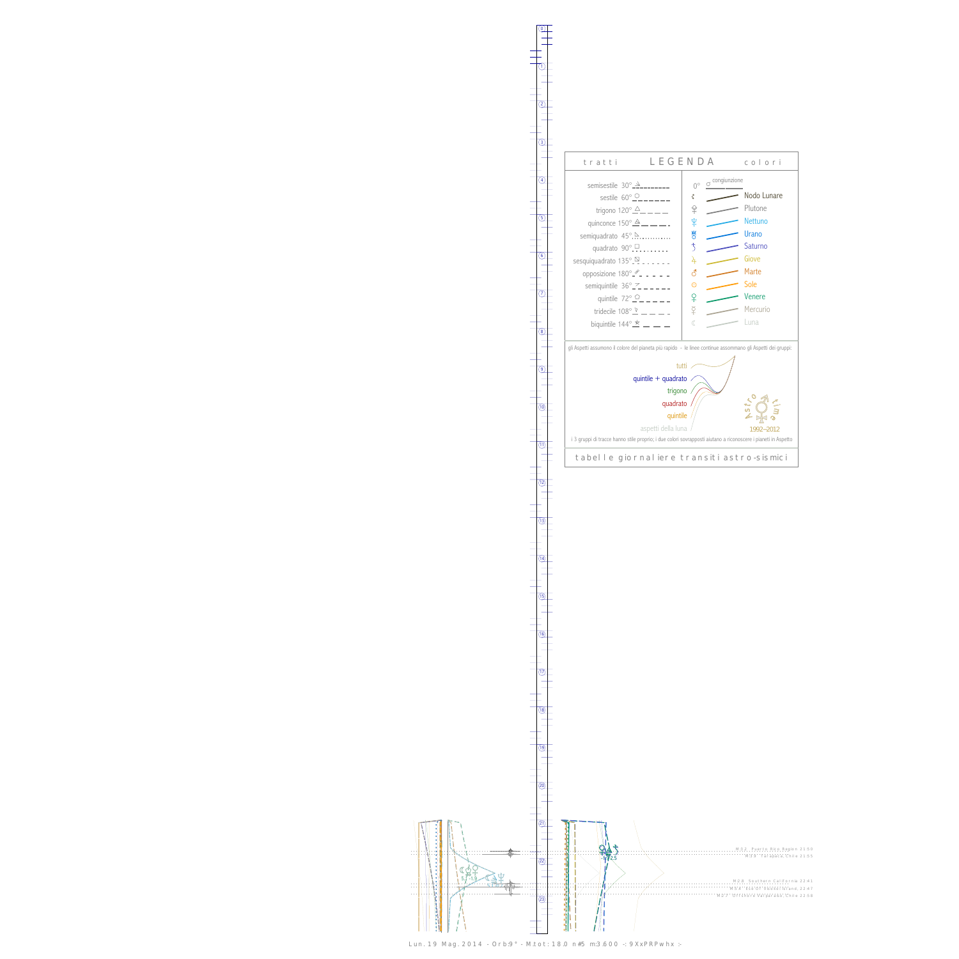0

1





Lun. 19 Mag. 2014 - Orb:9° - M.tot: 18.0 n#5 m:3.600 -: 9XxPRPwhx :-

 $(13)$ 

 $\frac{1}{\sqrt{(14)}}$